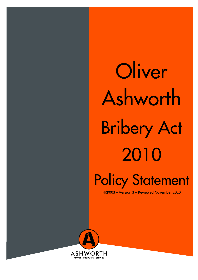**Oliver** Ashworth Bribery Act 2010

Policy Statement

HRP003 – Version 3 – Reviewed November 2020

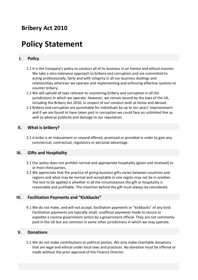## **Bribery Act 2010**

# **Policy Statement**

### **I. Policy**

- 1.1 It is the Company's policy to conduct all of its business in an honest and ethical manner. We take a zero-tolerance approach to bribery and corruption and are committed to acting professionally, fairly and with integrity in all our business dealings and relationships wherever we operate and implementing and enforcing effective systems to counter bribery.
- 1.2 We will uphold all laws relevant to countering bribery and corruption in all the jurisdictions in which we operate. However, we remain bound by the laws of the UK, including the Bribery Act 2010, in respect of our conduct both at home and abroad.
- 1.3 Bribery and corruption are punishable for individuals by up to ten years' imprisonment and if we are found to have taken part in corruption we could face an unlimited fine as well as adverse publicity and damage to our reputation.

#### **II. What is bribery?**

2.1 A bribe is an inducement or reward offered, promised or provided in order to gain any commercial, contractual, regulatory or personal advantage.

#### **III. Gifts and Hospitality**

- 3.1 Our policy does not prohibit normal and appropriate hospitality (given and received) to or from third parties.
- 3.2 We appreciate that the practice of giving business gifts varies between countries and regions and what may be normal and acceptable in one region may not be in another. The test to be applied is whether in all the circumstances the gift or hospitality is reasonable and justifiable. The intention behind the gift must always be considered.

#### **IV. Facilitation Payments and "Kickbacks"**

4.1 We do not make, and will not accept, facilitation payments or "kickbacks" of any kind. Facilitation payments are typically small, unofficial payments made to secure or expedite a routine government action by a government official. They are not commonly paid in the UK but are common in some other jurisdictions in which we may operate.

#### **V. Donations**

5.1 We do not make contributions to political parties. We only make charitable donations that are legal and ethical under local laws and practices. No donation must be offered or made without the prior approval of the Finance Director.